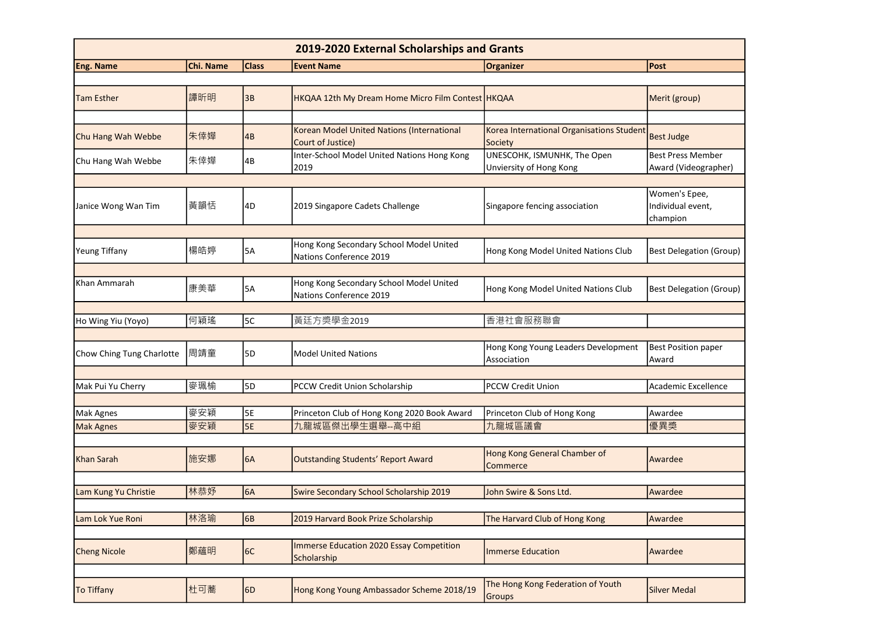| 2019-2020 External Scholarships and Grants |           |              |                                                                    |                                                        |                                                  |  |  |  |
|--------------------------------------------|-----------|--------------|--------------------------------------------------------------------|--------------------------------------------------------|--------------------------------------------------|--|--|--|
| Eng. Name                                  | Chi. Name | <b>Class</b> | <b>Event Name</b>                                                  | <b>Organizer</b>                                       | Post                                             |  |  |  |
|                                            |           |              |                                                                    |                                                        |                                                  |  |  |  |
| <b>Tam Esther</b>                          | 譚昕明       | 3B           | HKQAA 12th My Dream Home Micro Film Contest HKQAA                  |                                                        | Merit (group)                                    |  |  |  |
|                                            |           |              |                                                                    |                                                        |                                                  |  |  |  |
| Chu Hang Wah Webbe                         | 朱倖嬅       | 4B           | Korean Model United Nations (International<br>Court of Justice)    | Korea International Organisations Student<br>Society   | <b>Best Judge</b>                                |  |  |  |
| Chu Hang Wah Webbe                         | 朱倖嬅       | 4B           | Inter-School Model United Nations Hong Kong<br>2019                | UNESCOHK, ISMUNHK, The Open<br>Unviersity of Hong Kong | <b>Best Press Member</b><br>Award (Videographer) |  |  |  |
|                                            |           |              |                                                                    |                                                        |                                                  |  |  |  |
| Janice Wong Wan Tim                        | 黃韻恬       | 4D           | 2019 Singapore Cadets Challenge                                    | Singapore fencing association                          | Women's Epee,<br>Individual event,<br>champion   |  |  |  |
|                                            |           |              |                                                                    |                                                        |                                                  |  |  |  |
| Yeung Tiffany                              | 楊皓婷       | <b>5A</b>    | Hong Kong Secondary School Model United<br>Nations Conference 2019 | Hong Kong Model United Nations Club                    | <b>Best Delegation (Group)</b>                   |  |  |  |
|                                            |           |              |                                                                    |                                                        |                                                  |  |  |  |
| Khan Ammarah                               | 康美華       | 5A           | Hong Kong Secondary School Model United<br>Nations Conference 2019 | Hong Kong Model United Nations Club                    | <b>Best Delegation (Group)</b>                   |  |  |  |
|                                            |           |              |                                                                    |                                                        |                                                  |  |  |  |
| Ho Wing Yiu (Yoyo)                         | 何穎瑤       | 5C           | 黃廷方獎學金2019                                                         | 香港社會服務聯會                                               |                                                  |  |  |  |
|                                            |           |              |                                                                    |                                                        |                                                  |  |  |  |
| Chow Ching Tung Charlotte                  | 周靖童       | 5D           | <b>Model United Nations</b>                                        | Hong Kong Young Leaders Development<br>Association     | Best Position paper<br>Award                     |  |  |  |
|                                            |           |              |                                                                    |                                                        |                                                  |  |  |  |
| Mak Pui Yu Cherry                          | 麥珮榆       | 5D           | PCCW Credit Union Scholarship                                      | <b>PCCW Credit Union</b>                               | Academic Excellence                              |  |  |  |
|                                            |           |              |                                                                    |                                                        |                                                  |  |  |  |
| Mak Agnes                                  | 麥安穎       | 5E           | Princeton Club of Hong Kong 2020 Book Award                        | Princeton Club of Hong Kong                            | Awardee                                          |  |  |  |
| <b>Mak Agnes</b>                           | 麥安穎       | 5E           | 九龍城區傑出學生選舉--高中組                                                    | 九龍城區議會                                                 | 優異獎                                              |  |  |  |
|                                            |           |              |                                                                    |                                                        |                                                  |  |  |  |
| Khan Sarah                                 | 施安娜       | 6A           | Outstanding Students' Report Award                                 | Hong Kong General Chamber of<br>Commerce               | Awardee                                          |  |  |  |
|                                            |           |              |                                                                    |                                                        |                                                  |  |  |  |
| Lam Kung Yu Christie                       | 林恭妤       | 6A           | Swire Secondary School Scholarship 2019                            | John Swire & Sons Ltd.                                 | Awardee                                          |  |  |  |
|                                            |           |              |                                                                    |                                                        |                                                  |  |  |  |
| Lam Lok Yue Roni                           | 林洛瑜       | 6B           | 2019 Harvard Book Prize Scholarship                                | The Harvard Club of Hong Kong                          | Awardee                                          |  |  |  |
|                                            |           |              |                                                                    |                                                        |                                                  |  |  |  |
| <b>Cheng Nicole</b>                        | 鄭蘊明       | 6C           | <b>Immerse Education 2020 Essay Competition</b><br>Scholarship     | Immerse Education                                      | Awardee                                          |  |  |  |
|                                            |           |              |                                                                    |                                                        |                                                  |  |  |  |
| <b>To Tiffany</b>                          | 杜可蕎       | 6D           | Hong Kong Young Ambassador Scheme 2018/19                          | The Hong Kong Federation of Youth<br>Groups            | Silver Medal                                     |  |  |  |